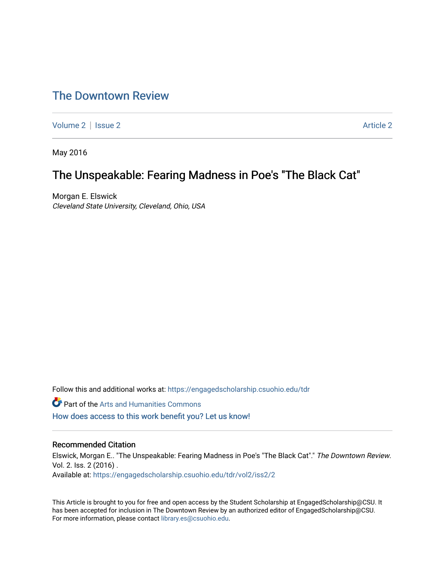# [The Downtown Review](https://engagedscholarship.csuohio.edu/tdr)

[Volume 2](https://engagedscholarship.csuohio.edu/tdr/vol2) | [Issue 2](https://engagedscholarship.csuohio.edu/tdr/vol2/iss2) Article 2

May 2016

## The Unspeakable: Fearing Madness in Poe's "The Black Cat"

Morgan E. Elswick Cleveland State University, Cleveland, Ohio, USA

Follow this and additional works at: [https://engagedscholarship.csuohio.edu/tdr](https://engagedscholarship.csuohio.edu/tdr?utm_source=engagedscholarship.csuohio.edu%2Ftdr%2Fvol2%2Fiss2%2F2&utm_medium=PDF&utm_campaign=PDFCoverPages) 

**Part of the Arts and Humanities Commons** 

[How does access to this work benefit you? Let us know!](http://library.csuohio.edu/engaged/)

#### Recommended Citation

Elswick, Morgan E.. "The Unspeakable: Fearing Madness in Poe's "The Black Cat"." The Downtown Review. Vol. 2. Iss. 2 (2016) . Available at: [https://engagedscholarship.csuohio.edu/tdr/vol2/iss2/2](https://engagedscholarship.csuohio.edu/tdr/vol2/iss2/2?utm_source=engagedscholarship.csuohio.edu%2Ftdr%2Fvol2%2Fiss2%2F2&utm_medium=PDF&utm_campaign=PDFCoverPages) 

This Article is brought to you for free and open access by the Student Scholarship at EngagedScholarship@CSU. It has been accepted for inclusion in The Downtown Review by an authorized editor of EngagedScholarship@CSU. For more information, please contact [library.es@csuohio.edu.](mailto:library.es@csuohio.edu)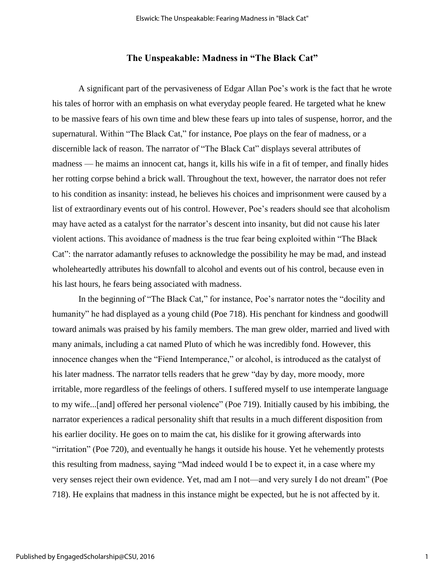### **The Unspeakable: Madness in "The Black Cat"**

A significant part of the pervasiveness of Edgar Allan Poe's work is the fact that he wrote his tales of horror with an emphasis on what everyday people feared. He targeted what he knew to be massive fears of his own time and blew these fears up into tales of suspense, horror, and the supernatural. Within "The Black Cat," for instance, Poe plays on the fear of madness, or a discernible lack of reason. The narrator of "The Black Cat" displays several attributes of madness — he maims an innocent cat, hangs it, kills his wife in a fit of temper, and finally hides her rotting corpse behind a brick wall. Throughout the text, however, the narrator does not refer to his condition as insanity: instead, he believes his choices and imprisonment were caused by a list of extraordinary events out of his control. However, Poe's readers should see that alcoholism may have acted as a catalyst for the narrator's descent into insanity, but did not cause his later violent actions. This avoidance of madness is the true fear being exploited within "The Black Cat": the narrator adamantly refuses to acknowledge the possibility he may be mad, and instead wholeheartedly attributes his downfall to alcohol and events out of his control, because even in his last hours, he fears being associated with madness.

In the beginning of "The Black Cat," for instance, Poe's narrator notes the "docility and humanity" he had displayed as a young child (Poe 718). His penchant for kindness and goodwill toward animals was praised by his family members. The man grew older, married and lived with many animals, including a cat named Pluto of which he was incredibly fond. However, this innocence changes when the "Fiend Intemperance," or alcohol, is introduced as the catalyst of his later madness. The narrator tells readers that he grew "day by day, more moody, more irritable, more regardless of the feelings of others. I suffered myself to use intemperate language to my wife...[and] offered her personal violence" (Poe 719). Initially caused by his imbibing, the narrator experiences a radical personality shift that results in a much different disposition from his earlier docility. He goes on to maim the cat, his dislike for it growing afterwards into "irritation" (Poe 720), and eventually he hangs it outside his house. Yet he vehemently protests this resulting from madness, saying "Mad indeed would I be to expect it, in a case where my very senses reject their own evidence. Yet, mad am I not—and very surely I do not dream" (Poe 718). He explains that madness in this instance might be expected, but he is not affected by it.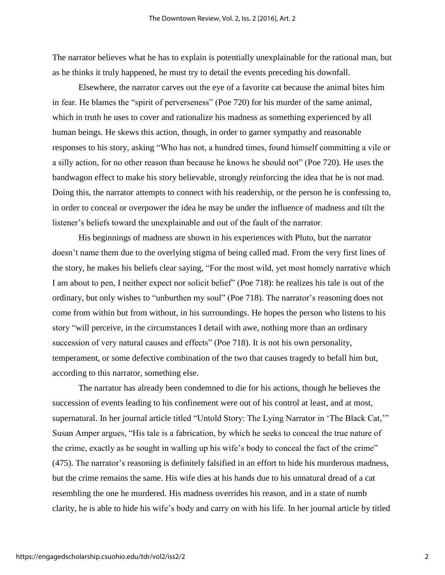The narrator believes what he has to explain is potentially unexplainable for the rational man, but as he thinks it truly happened, he must try to detail the events preceding his downfall.

Elsewhere, the narrator carves out the eye of a favorite cat because the animal bites him in fear. He blames the "spirit of perverseness" (Poe 720) for his murder of the same animal, which in truth he uses to cover and rationalize his madness as something experienced by all human beings. He skews this action, though, in order to garner sympathy and reasonable responses to his story, asking "Who has not, a hundred times, found himself committing a vile or a silly action, for no other reason than because he knows he should not" (Poe 720). He uses the bandwagon effect to make his story believable, strongly reinforcing the idea that he is not mad. Doing this, the narrator attempts to connect with his readership, or the person he is confessing to, in order to conceal or overpower the idea he may be under the influence of madness and tilt the listener's beliefs toward the unexplainable and out of the fault of the narrator.

His beginnings of madness are shown in his experiences with Pluto, but the narrator doesn't name them due to the overlying stigma of being called mad. From the very first lines of the story, he makes his beliefs clear saying, "For the most wild, yet most homely narrative which I am about to pen, I neither expect nor solicit belief" (Poe 718): he realizes his tale is out of the ordinary, but only wishes to "unburthen my soul" (Poe 718). The narrator's reasoning does not come from within but from without, in his surroundings. He hopes the person who listens to his story "will perceive, in the circumstances I detail with awe, nothing more than an ordinary succession of very natural causes and effects" (Poe 718). It is not his own personality, temperament, or some defective combination of the two that causes tragedy to befall him but, according to this narrator, something else.

The narrator has already been condemned to die for his actions, though he believes the succession of events leading to his confinement were out of his control at least, and at most, supernatural. In her journal article titled "Untold Story: The Lying Narrator in 'The Black Cat,'" Susan Amper argues, "His tale is a fabrication, by which he seeks to conceal the true nature of the crime, exactly as he sought in walling up his wife's body to conceal the fact of the crime" (475). The narrator's reasoning is definitely falsified in an effort to hide his murderous madness, but the crime remains the same. His wife dies at his hands due to his unnatural dread of a cat resembling the one he murdered. His madness overrides his reason, and in a state of numb clarity, he is able to hide his wife's body and carry on with his life. In her journal article by titled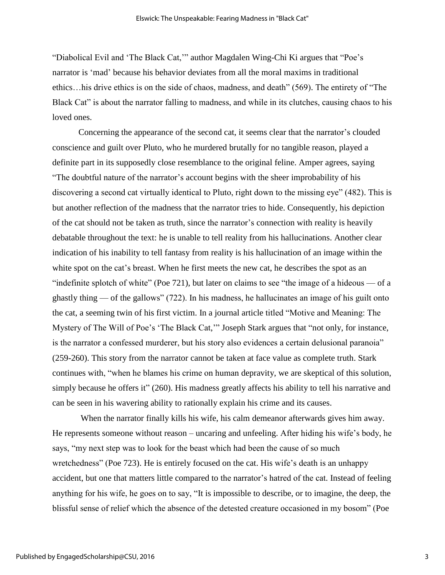"Diabolical Evil and 'The Black Cat,'" author Magdalen Wing-Chi Ki argues that "Poe's narrator is 'mad' because his behavior deviates from all the moral maxims in traditional ethics…his drive ethics is on the side of chaos, madness, and death" (569). The entirety of "The Black Cat" is about the narrator falling to madness, and while in its clutches, causing chaos to his loved ones.

Concerning the appearance of the second cat, it seems clear that the narrator's clouded conscience and guilt over Pluto, who he murdered brutally for no tangible reason, played a definite part in its supposedly close resemblance to the original feline. Amper agrees, saying "The doubtful nature of the narrator's account begins with the sheer improbability of his discovering a second cat virtually identical to Pluto, right down to the missing eye" (482). This is but another reflection of the madness that the narrator tries to hide. Consequently, his depiction of the cat should not be taken as truth, since the narrator's connection with reality is heavily debatable throughout the text: he is unable to tell reality from his hallucinations. Another clear indication of his inability to tell fantasy from reality is his hallucination of an image within the white spot on the cat's breast. When he first meets the new cat, he describes the spot as an "indefinite splotch of white" (Poe 721), but later on claims to see "the image of a hideous — of a ghastly thing — of the gallows" (722). In his madness, he hallucinates an image of his guilt onto the cat, a seeming twin of his first victim. In a journal article titled "Motive and Meaning: The Mystery of The Will of Poe's 'The Black Cat,'" Joseph Stark argues that "not only, for instance, is the narrator a confessed murderer, but his story also evidences a certain delusional paranoia" (259-260). This story from the narrator cannot be taken at face value as complete truth. Stark continues with, "when he blames his crime on human depravity, we are skeptical of this solution, simply because he offers it" (260). His madness greatly affects his ability to tell his narrative and can be seen in his wavering ability to rationally explain his crime and its causes.

When the narrator finally kills his wife, his calm demeanor afterwards gives him away. He represents someone without reason – uncaring and unfeeling. After hiding his wife's body, he says, "my next step was to look for the beast which had been the cause of so much wretchedness" (Poe 723). He is entirely focused on the cat. His wife's death is an unhappy accident, but one that matters little compared to the narrator's hatred of the cat. Instead of feeling anything for his wife, he goes on to say, "It is impossible to describe, or to imagine, the deep, the blissful sense of relief which the absence of the detested creature occasioned in my bosom" (Poe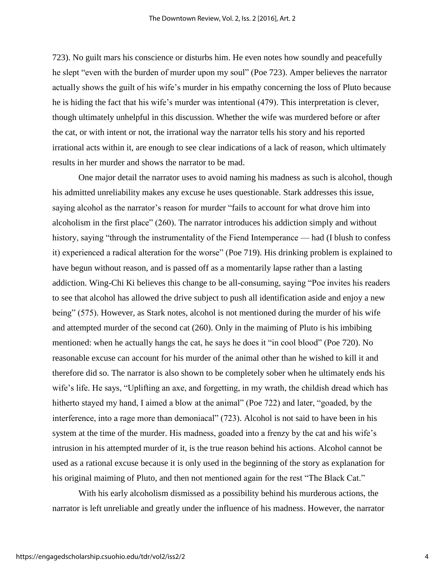723). No guilt mars his conscience or disturbs him. He even notes how soundly and peacefully he slept "even with the burden of murder upon my soul" (Poe 723). Amper believes the narrator actually shows the guilt of his wife's murder in his empathy concerning the loss of Pluto because he is hiding the fact that his wife's murder was intentional (479). This interpretation is clever, though ultimately unhelpful in this discussion. Whether the wife was murdered before or after the cat, or with intent or not, the irrational way the narrator tells his story and his reported irrational acts within it, are enough to see clear indications of a lack of reason, which ultimately results in her murder and shows the narrator to be mad.

One major detail the narrator uses to avoid naming his madness as such is alcohol, though his admitted unreliability makes any excuse he uses questionable. Stark addresses this issue, saying alcohol as the narrator's reason for murder "fails to account for what drove him into alcoholism in the first place" (260). The narrator introduces his addiction simply and without history, saying "through the instrumentality of the Fiend Intemperance — had (I blush to confess it) experienced a radical alteration for the worse" (Poe 719). His drinking problem is explained to have begun without reason, and is passed off as a momentarily lapse rather than a lasting addiction. Wing-Chi Ki believes this change to be all-consuming, saying "Poe invites his readers to see that alcohol has allowed the drive subject to push all identification aside and enjoy a new being" (575). However, as Stark notes, alcohol is not mentioned during the murder of his wife and attempted murder of the second cat (260). Only in the maiming of Pluto is his imbibing mentioned: when he actually hangs the cat, he says he does it "in cool blood" (Poe 720). No reasonable excuse can account for his murder of the animal other than he wished to kill it and therefore did so. The narrator is also shown to be completely sober when he ultimately ends his wife's life. He says, "Uplifting an axe, and forgetting, in my wrath, the childish dread which has hitherto stayed my hand, I aimed a blow at the animal" (Poe 722) and later, "goaded, by the interference, into a rage more than demoniacal" (723). Alcohol is not said to have been in his system at the time of the murder. His madness, goaded into a frenzy by the cat and his wife's intrusion in his attempted murder of it, is the true reason behind his actions. Alcohol cannot be used as a rational excuse because it is only used in the beginning of the story as explanation for his original maiming of Pluto, and then not mentioned again for the rest "The Black Cat."

With his early alcoholism dismissed as a possibility behind his murderous actions, the narrator is left unreliable and greatly under the influence of his madness. However, the narrator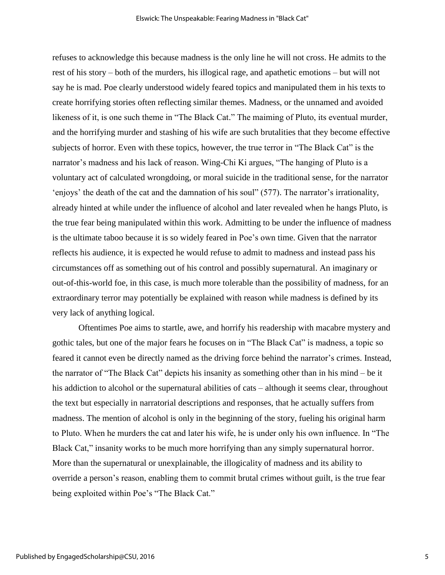refuses to acknowledge this because madness is the only line he will not cross. He admits to the rest of his story – both of the murders, his illogical rage, and apathetic emotions – but will not say he is mad. Poe clearly understood widely feared topics and manipulated them in his texts to create horrifying stories often reflecting similar themes. Madness, or the unnamed and avoided likeness of it, is one such theme in "The Black Cat." The maiming of Pluto, its eventual murder, and the horrifying murder and stashing of his wife are such brutalities that they become effective subjects of horror. Even with these topics, however, the true terror in "The Black Cat" is the narrator's madness and his lack of reason. Wing-Chi Ki argues, "The hanging of Pluto is a voluntary act of calculated wrongdoing, or moral suicide in the traditional sense, for the narrator 'enjoys' the death of the cat and the damnation of his soul" (577). The narrator's irrationality, already hinted at while under the influence of alcohol and later revealed when he hangs Pluto, is the true fear being manipulated within this work. Admitting to be under the influence of madness is the ultimate taboo because it is so widely feared in Poe's own time. Given that the narrator reflects his audience, it is expected he would refuse to admit to madness and instead pass his circumstances off as something out of his control and possibly supernatural. An imaginary or out-of-this-world foe, in this case, is much more tolerable than the possibility of madness, for an extraordinary terror may potentially be explained with reason while madness is defined by its very lack of anything logical.

Oftentimes Poe aims to startle, awe, and horrify his readership with macabre mystery and gothic tales, but one of the major fears he focuses on in "The Black Cat" is madness, a topic so feared it cannot even be directly named as the driving force behind the narrator's crimes. Instead, the narrator of "The Black Cat" depicts his insanity as something other than in his mind – be it his addiction to alcohol or the supernatural abilities of cats – although it seems clear, throughout the text but especially in narratorial descriptions and responses, that he actually suffers from madness. The mention of alcohol is only in the beginning of the story, fueling his original harm to Pluto. When he murders the cat and later his wife, he is under only his own influence. In "The Black Cat," insanity works to be much more horrifying than any simply supernatural horror. More than the supernatural or unexplainable, the illogicality of madness and its ability to override a person's reason, enabling them to commit brutal crimes without guilt, is the true fear being exploited within Poe's "The Black Cat."